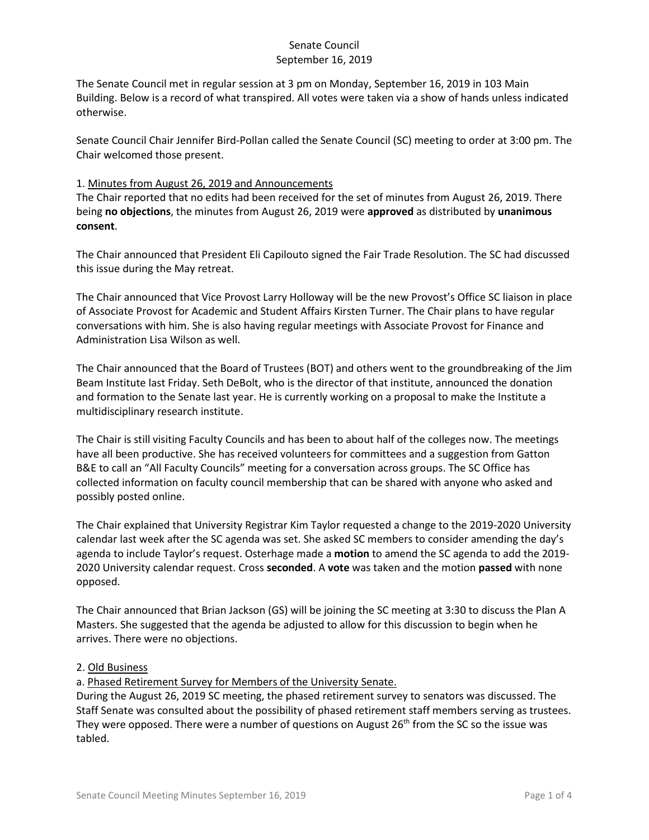The Senate Council met in regular session at 3 pm on Monday, September 16, 2019 in 103 Main Building. Below is a record of what transpired. All votes were taken via a show of hands unless indicated otherwise.

Senate Council Chair Jennifer Bird-Pollan called the Senate Council (SC) meeting to order at 3:00 pm. The Chair welcomed those present.

## 1. Minutes from August 26, 2019 and Announcements

The Chair reported that no edits had been received for the set of minutes from August 26, 2019. There being **no objections**, the minutes from August 26, 2019 were **approved** as distributed by **unanimous consent**.

The Chair announced that President Eli Capilouto signed the Fair Trade Resolution. The SC had discussed this issue during the May retreat.

The Chair announced that Vice Provost Larry Holloway will be the new Provost's Office SC liaison in place of Associate Provost for Academic and Student Affairs Kirsten Turner. The Chair plans to have regular conversations with him. She is also having regular meetings with Associate Provost for Finance and Administration Lisa Wilson as well.

The Chair announced that the Board of Trustees (BOT) and others went to the groundbreaking of the Jim Beam Institute last Friday. Seth DeBolt, who is the director of that institute, announced the donation and formation to the Senate last year. He is currently working on a proposal to make the Institute a multidisciplinary research institute.

The Chair is still visiting Faculty Councils and has been to about half of the colleges now. The meetings have all been productive. She has received volunteers for committees and a suggestion from Gatton B&E to call an "All Faculty Councils" meeting for a conversation across groups. The SC Office has collected information on faculty council membership that can be shared with anyone who asked and possibly posted online.

The Chair explained that University Registrar Kim Taylor requested a change to the 2019-2020 University calendar last week after the SC agenda was set. She asked SC members to consider amending the day's agenda to include Taylor's request. Osterhage made a **motion** to amend the SC agenda to add the 2019- 2020 University calendar request. Cross **seconded**. A **vote** was taken and the motion **passed** with none opposed.

The Chair announced that Brian Jackson (GS) will be joining the SC meeting at 3:30 to discuss the Plan A Masters. She suggested that the agenda be adjusted to allow for this discussion to begin when he arrives. There were no objections.

#### 2. Old Business

a. Phased Retirement Survey for Members of the University Senate.

During the August 26, 2019 SC meeting, the phased retirement survey to senators was discussed. The Staff Senate was consulted about the possibility of phased retirement staff members serving as trustees. They were opposed. There were a number of questions on August  $26<sup>th</sup>$  from the SC so the issue was tabled.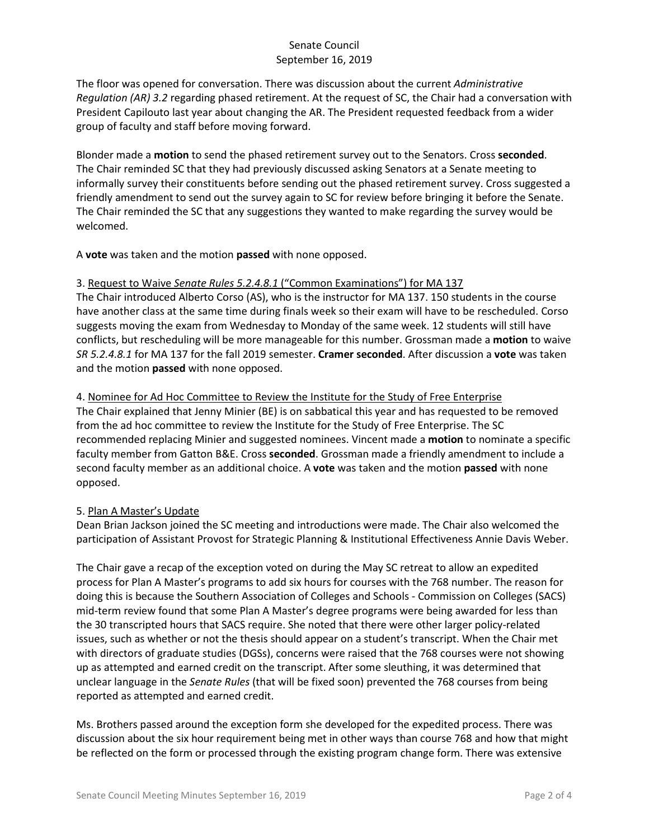The floor was opened for conversation. There was discussion about the current *Administrative Regulation (AR) 3.2* regarding phased retirement. At the request of SC, the Chair had a conversation with President Capilouto last year about changing the AR. The President requested feedback from a wider group of faculty and staff before moving forward.

Blonder made a **motion** to send the phased retirement survey out to the Senators. Cross **seconded**. The Chair reminded SC that they had previously discussed asking Senators at a Senate meeting to informally survey their constituents before sending out the phased retirement survey. Cross suggested a friendly amendment to send out the survey again to SC for review before bringing it before the Senate. The Chair reminded the SC that any suggestions they wanted to make regarding the survey would be welcomed.

A **vote** was taken and the motion **passed** with none opposed.

## 3. Request to Waive *Senate Rules 5.2.4.8.1* ("Common Examinations") for MA 137

The Chair introduced Alberto Corso (AS), who is the instructor for MA 137. 150 students in the course have another class at the same time during finals week so their exam will have to be rescheduled. Corso suggests moving the exam from Wednesday to Monday of the same week. 12 students will still have conflicts, but rescheduling will be more manageable for this number. Grossman made a **motion** to waive *SR 5.2.4.8.1* for MA 137 for the fall 2019 semester. **Cramer seconded**. After discussion a **vote** was taken and the motion **passed** with none opposed.

4. Nominee for Ad Hoc Committee to Review the Institute for the Study of Free Enterprise

The Chair explained that Jenny Minier (BE) is on sabbatical this year and has requested to be removed from the ad hoc committee to review the Institute for the Study of Free Enterprise. The SC recommended replacing Minier and suggested nominees. Vincent made a **motion** to nominate a specific faculty member from Gatton B&E. Cross **seconded**. Grossman made a friendly amendment to include a second faculty member as an additional choice. A **vote** was taken and the motion **passed** with none opposed.

#### 5. Plan A Master's Update

Dean Brian Jackson joined the SC meeting and introductions were made. The Chair also welcomed the participation of Assistant Provost for Strategic Planning & Institutional Effectiveness Annie Davis Weber.

The Chair gave a recap of the exception voted on during the May SC retreat to allow an expedited process for Plan A Master's programs to add six hours for courses with the 768 number. The reason for doing this is because the Southern Association of Colleges and Schools - Commission on Colleges (SACS) mid-term review found that some Plan A Master's degree programs were being awarded for less than the 30 transcripted hours that SACS require. She noted that there were other larger policy-related issues, such as whether or not the thesis should appear on a student's transcript. When the Chair met with directors of graduate studies (DGSs), concerns were raised that the 768 courses were not showing up as attempted and earned credit on the transcript. After some sleuthing, it was determined that unclear language in the *Senate Rules* (that will be fixed soon) prevented the 768 courses from being reported as attempted and earned credit.

Ms. Brothers passed around the exception form she developed for the expedited process. There was discussion about the six hour requirement being met in other ways than course 768 and how that might be reflected on the form or processed through the existing program change form. There was extensive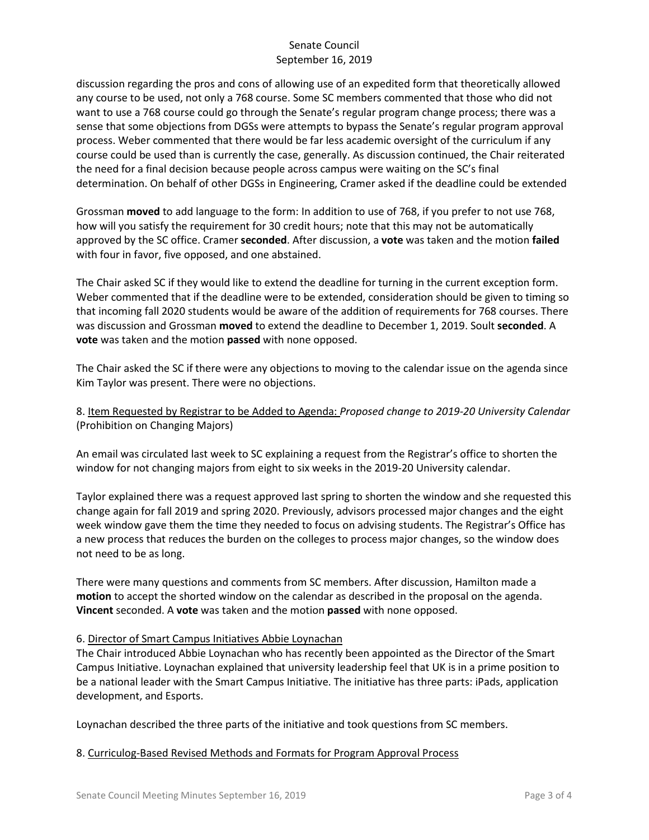discussion regarding the pros and cons of allowing use of an expedited form that theoretically allowed any course to be used, not only a 768 course. Some SC members commented that those who did not want to use a 768 course could go through the Senate's regular program change process; there was a sense that some objections from DGSs were attempts to bypass the Senate's regular program approval process. Weber commented that there would be far less academic oversight of the curriculum if any course could be used than is currently the case, generally. As discussion continued, the Chair reiterated the need for a final decision because people across campus were waiting on the SC's final determination. On behalf of other DGSs in Engineering, Cramer asked if the deadline could be extended

Grossman **moved** to add language to the form: In addition to use of 768, if you prefer to not use 768, how will you satisfy the requirement for 30 credit hours; note that this may not be automatically approved by the SC office. Cramer **seconded**. After discussion, a **vote** was taken and the motion **failed** with four in favor, five opposed, and one abstained.

The Chair asked SC if they would like to extend the deadline for turning in the current exception form. Weber commented that if the deadline were to be extended, consideration should be given to timing so that incoming fall 2020 students would be aware of the addition of requirements for 768 courses. There was discussion and Grossman **moved** to extend the deadline to December 1, 2019. Soult **seconded**. A **vote** was taken and the motion **passed** with none opposed.

The Chair asked the SC if there were any objections to moving to the calendar issue on the agenda since Kim Taylor was present. There were no objections.

8. Item Requested by Registrar to be Added to Agenda: *Proposed change to 2019-20 University Calendar* (Prohibition on Changing Majors)

An email was circulated last week to SC explaining a request from the Registrar's office to shorten the window for not changing majors from eight to six weeks in the 2019-20 University calendar.

Taylor explained there was a request approved last spring to shorten the window and she requested this change again for fall 2019 and spring 2020. Previously, advisors processed major changes and the eight week window gave them the time they needed to focus on advising students. The Registrar's Office has a new process that reduces the burden on the colleges to process major changes, so the window does not need to be as long.

There were many questions and comments from SC members. After discussion, Hamilton made a **motion** to accept the shorted window on the calendar as described in the proposal on the agenda. **Vincent** seconded. A **vote** was taken and the motion **passed** with none opposed.

#### 6. Director of Smart Campus Initiatives Abbie Loynachan

The Chair introduced Abbie Loynachan who has recently been appointed as the Director of the Smart Campus Initiative. Loynachan explained that university leadership feel that UK is in a prime position to be a national leader with the Smart Campus Initiative. The initiative has three parts: iPads, application development, and Esports.

Loynachan described the three parts of the initiative and took questions from SC members.

#### 8. Curriculog-Based Revised Methods and Formats for Program Approval Process